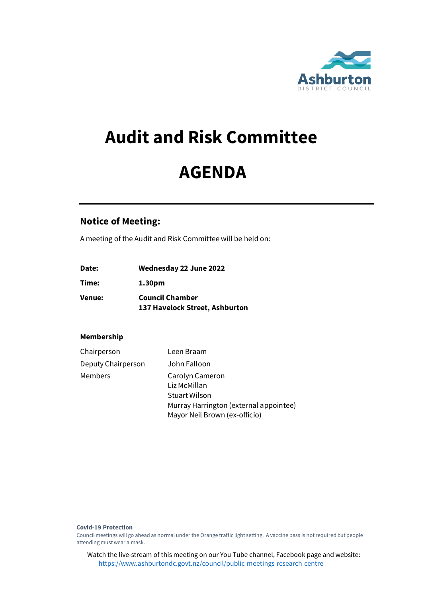

# **Audit and Risk Committee**

# **AGENDA**

# **Notice of Meeting:**

A meeting of the Audit and Risk Committee will be held on:

| Date:  | Wednesday 22 June 2022         |
|--------|--------------------------------|
| Time:  | 1.30pm                         |
| Venue: | <b>Council Chamber</b>         |
|        | 137 Havelock Street, Ashburton |

# **Membership**

| Chairperson        | Leen Braam                                                                                                                  |
|--------------------|-----------------------------------------------------------------------------------------------------------------------------|
| Deputy Chairperson | John Falloon                                                                                                                |
| Members            | Carolyn Cameron<br>Liz McMillan<br>Stuart Wilson<br>Murray Harrington (external appointee)<br>Mayor Neil Brown (ex-officio) |

**Covid-19 Protection** 

Council meetings will go ahead as normal under the Orange traffic light setting. A vaccine pass is not required but people attending must wear a mask.

Watch the live-stream of this meeting on our You Tube channel, Facebook page and website: <https://www.ashburtondc.govt.nz/council/public-meetings-research-centre>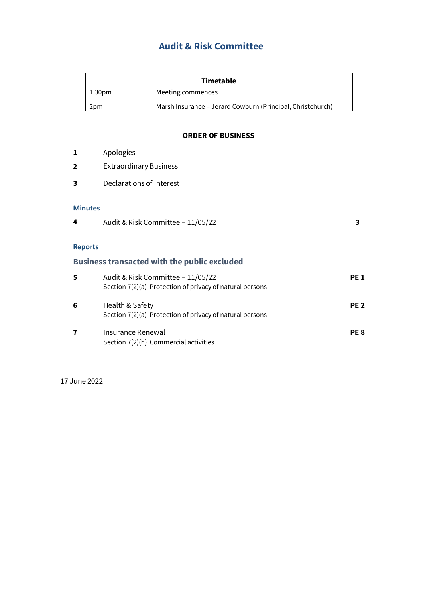# **Audit & Risk Committee**

| Timetable     |                                                            |  |  |
|---------------|------------------------------------------------------------|--|--|
| $\mid$ 1.30pm | Meeting commences                                          |  |  |
| 2pm           | Marsh Insurance - Jerard Cowburn (Principal, Christchurch) |  |  |

## **ORDER OF BUSINESS**

| 1              | Apologies                                                                                     |                 |
|----------------|-----------------------------------------------------------------------------------------------|-----------------|
| $\mathbf{2}$   | <b>Extraordinary Business</b>                                                                 |                 |
| 3              | Declarations of Interest                                                                      |                 |
| <b>Minutes</b> |                                                                                               |                 |
| 4              | Audit & Risk Committee - 11/05/22                                                             | 3               |
| <b>Reports</b> |                                                                                               |                 |
|                | <b>Business transacted with the public excluded</b>                                           |                 |
| 5              | Audit & Risk Committee - 11/05/22<br>Section 7(2)(a) Protection of privacy of natural persons | <b>PE1</b>      |
| 6              | Health & Safety<br>Section 7(2)(a) Protection of privacy of natural persons                   | PE <sub>2</sub> |
| 7              | <b>Insurance Renewal</b><br>Section 7(2)(h) Commercial activities                             | PE <sub>8</sub> |

17 June 2022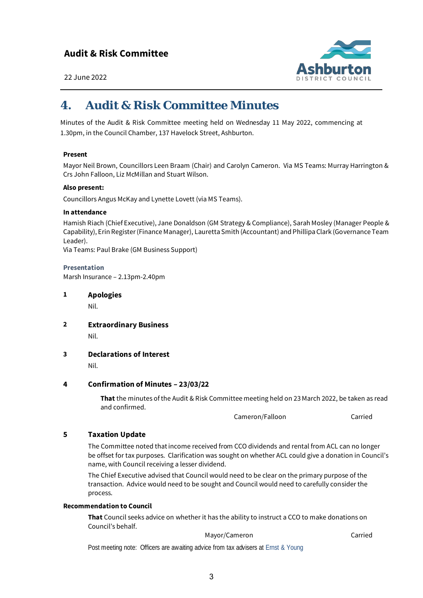

22 June 2022

# *4. Audit & Risk Committee Minutes*

Minutes of the Audit & Risk Committee meeting held on Wednesday 11 May 2022, commencing at 1.30pm, in the Council Chamber, 137 Havelock Street, Ashburton.

## **Present**

Mayor Neil Brown, Councillors Leen Braam (Chair) and Carolyn Cameron. Via MS Teams: Murray Harrington & Crs John Falloon, Liz McMillan and Stuart Wilson.

#### **Also present:**

Councillors Angus McKay and Lynette Lovett (via MS Teams).

#### **In attendance**

Hamish Riach (Chief Executive), Jane Donaldson (GM Strategy & Compliance), Sarah Mosley (Manager People & Capability), Erin Register (Finance Manager), Lauretta Smith (Accountant) and Phillipa Clark (Governance Team Leader).

Via Teams: Paul Brake (GM Business Support)

**Presentation** Marsh Insurance – 2.13pm-2.40pm

**1 Apologies**

Nil.

- **2 Extraordinary Business** Nil.
- **3 Declarations of Interest**

Nil.

#### **4 Confirmation of Minutes – 23/03/22**

**That** the minutes of the Audit & Risk Committee meeting held on 23 March 2022, be taken as read and confirmed.

Cameron/Falloon Carried

# **5 Taxation Update**

The Committee noted that income received from CCO dividends and rental from ACL can no longer be offset for tax purposes. Clarification was sought on whether ACL could give a donation in Council's name, with Council receiving a lesser dividend.

The Chief Executive advised that Council would need to be clear on the primary purpose of the transaction. Advice would need to be sought and Council would need to carefully consider the process.

#### **Recommendation to Council**

**That** Council seeks advice on whether it has the ability to instruct a CCO to make donations on Council's behalf.

#### Mayor/Cameron Carried

Post meeting note: Officers are awaiting advice from tax advisers at Ernst & Young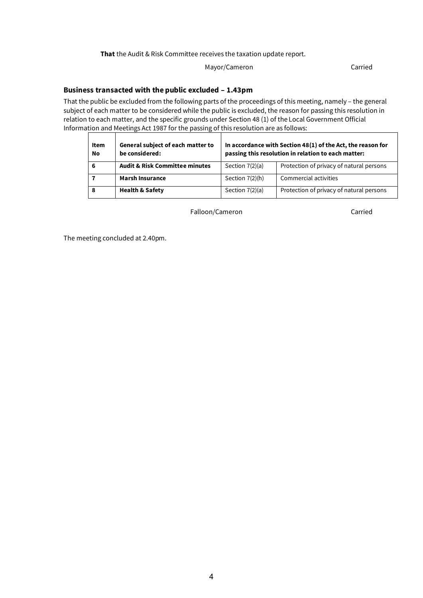#### **That** the Audit & Risk Committee receives the taxation update report.

# Mayor/Cameron Carried

## **Business transacted with the public excluded – 1.43pm**

That the public be excluded from the following parts of the proceedings of this meeting, namely – the general subject of each matter to be considered while the public is excluded, the reason for passing this resolution in relation to each matter, and the specific grounds under Section 48 (1) of the Local Government Official Information and Meetings Act 1987 for the passing of this resolution are as follows:

| <b>Item</b><br>No | General subject of each matter to<br>be considered: | In accordance with Section 48(1) of the Act, the reason for<br>passing this resolution in relation to each matter: |                                          |
|-------------------|-----------------------------------------------------|--------------------------------------------------------------------------------------------------------------------|------------------------------------------|
| 6                 | <b>Audit &amp; Risk Committee minutes</b>           | Section $7(2)(a)$                                                                                                  | Protection of privacy of natural persons |
|                   | <b>Marsh Insurance</b>                              | Section $7(2)(h)$                                                                                                  | Commercial activities                    |
|                   | <b>Health &amp; Safety</b>                          | Section $7(2)(a)$                                                                                                  | Protection of privacy of natural persons |

Falloon/Cameron Carried

The meeting concluded at 2.40pm.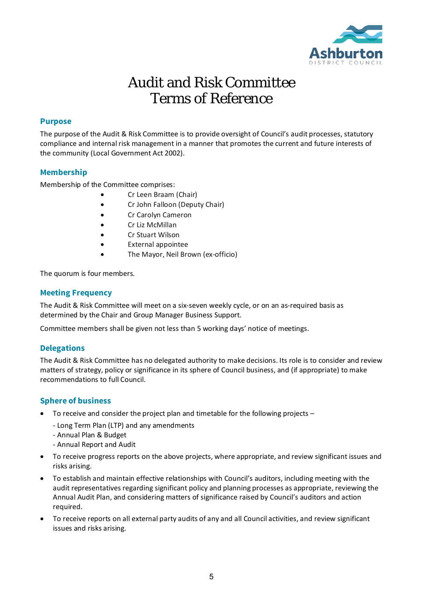

# Audit and Risk Committee Terms of Reference

# **Purpose**

The purpose of the Audit & Risk Committee is to provide oversight of Council's audit processes, statutory compliance and internal risk management in a manner that promotes the current and future interests of the community (Local Government Act 2002).

# **Membership**

Membership of the Committee comprises:

- Cr Leen Braam (Chair)
- Cr John Falloon (Deputy Chair)
- Cr Carolyn Cameron
- Cr Liz McMillan
- Cr Stuart Wilson
- External appointee
- The Mayor, Neil Brown (ex-officio)

The quorum is four members.

## **Meeting Frequency**

The Audit & Risk Committee will meet on a six-seven weekly cycle, or on an as-required basis as determined by the Chair and Group Manager Business Support.

Committee members shall be given not less than 5 working days' notice of meetings.

#### **Delegations**

The Audit & Risk Committee has no delegated authority to make decisions. Its role is to consider and review matters of strategy, policy or significance in its sphere of Council business, and (if appropriate) to make recommendations to full Council.

# **Sphere of business**

- To receive and consider the project plan and timetable for the following projects
	- Long Term Plan (LTP) and any amendments
	- Annual Plan & Budget
	- Annual Report and Audit
- To receive progress reports on the above projects, where appropriate, and review significant issues and risks arising.
- To establish and maintain effective relationships with Council's auditors, including meeting with the audit representatives regarding significant policy and planning processes as appropriate, reviewing the Annual Audit Plan, and considering matters of significance raised by Council's auditors and action required.
- To receive reports on all external party audits of any and all Council activities, and review significant issues and risks arising.